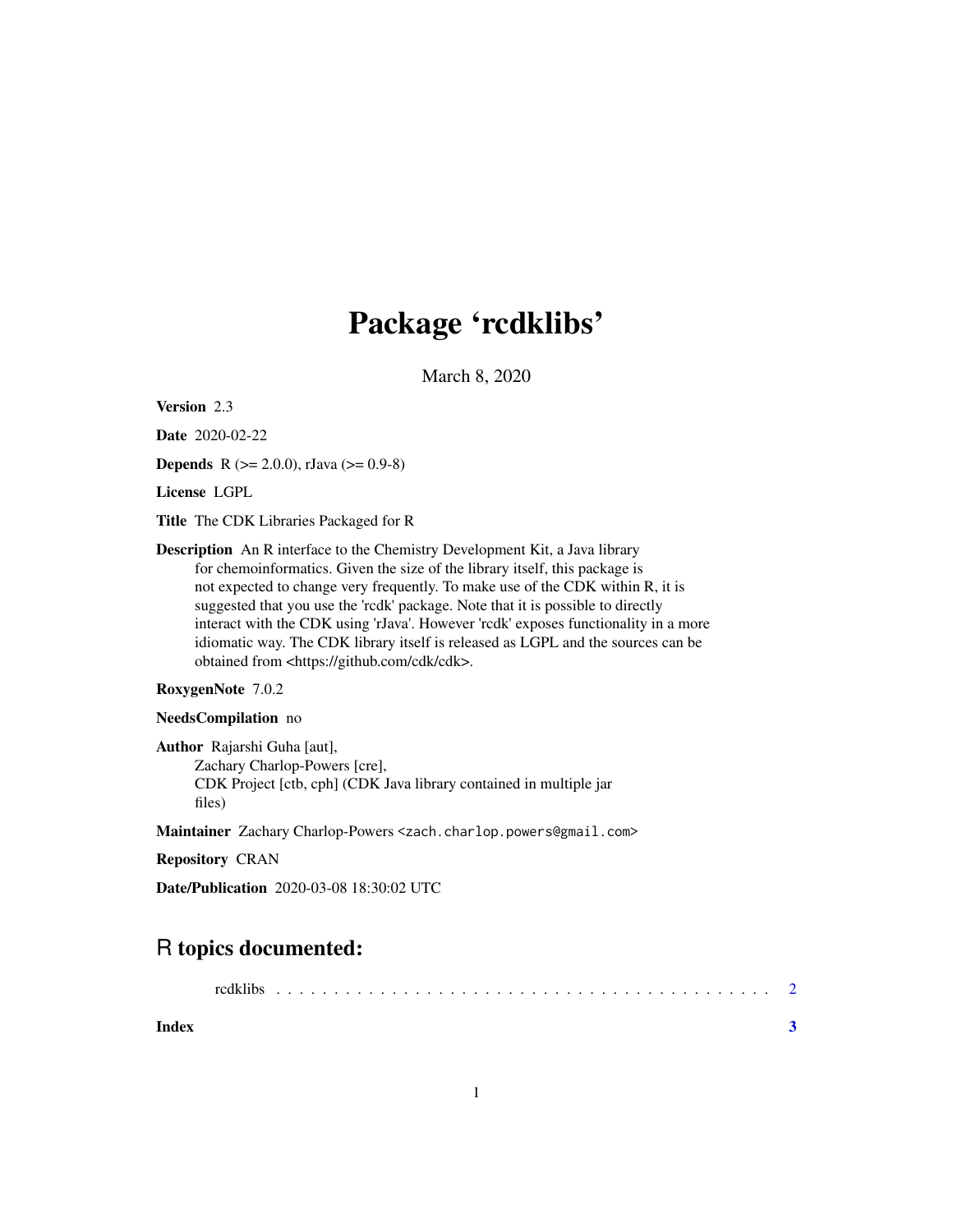# Package 'rcdklibs'

March 8, 2020

Version 2.3

Date 2020-02-22

**Depends** R ( $>= 2.0.0$ ), rJava ( $>= 0.9-8$ )

License LGPL

Title The CDK Libraries Packaged for R

Description An R interface to the Chemistry Development Kit, a Java library for chemoinformatics. Given the size of the library itself, this package is not expected to change very frequently. To make use of the CDK within R, it is suggested that you use the 'rcdk' package. Note that it is possible to directly interact with the CDK using 'rJava'. However 'rcdk' exposes functionality in a more idiomatic way. The CDK library itself is released as LGPL and the sources can be obtained from <https://github.com/cdk/cdk>.

RoxygenNote 7.0.2

NeedsCompilation no

Author Rajarshi Guha [aut], Zachary Charlop-Powers [cre], CDK Project [ctb, cph] (CDK Java library contained in multiple jar files)

Maintainer Zachary Charlop-Powers <zach.charlop.powers@gmail.com>

Repository CRAN

Date/Publication 2020-03-08 18:30:02 UTC

### R topics documented:

| Index |  |  |  |  |  |  |  |  |  |  |  |  |  |  |  |  |
|-------|--|--|--|--|--|--|--|--|--|--|--|--|--|--|--|--|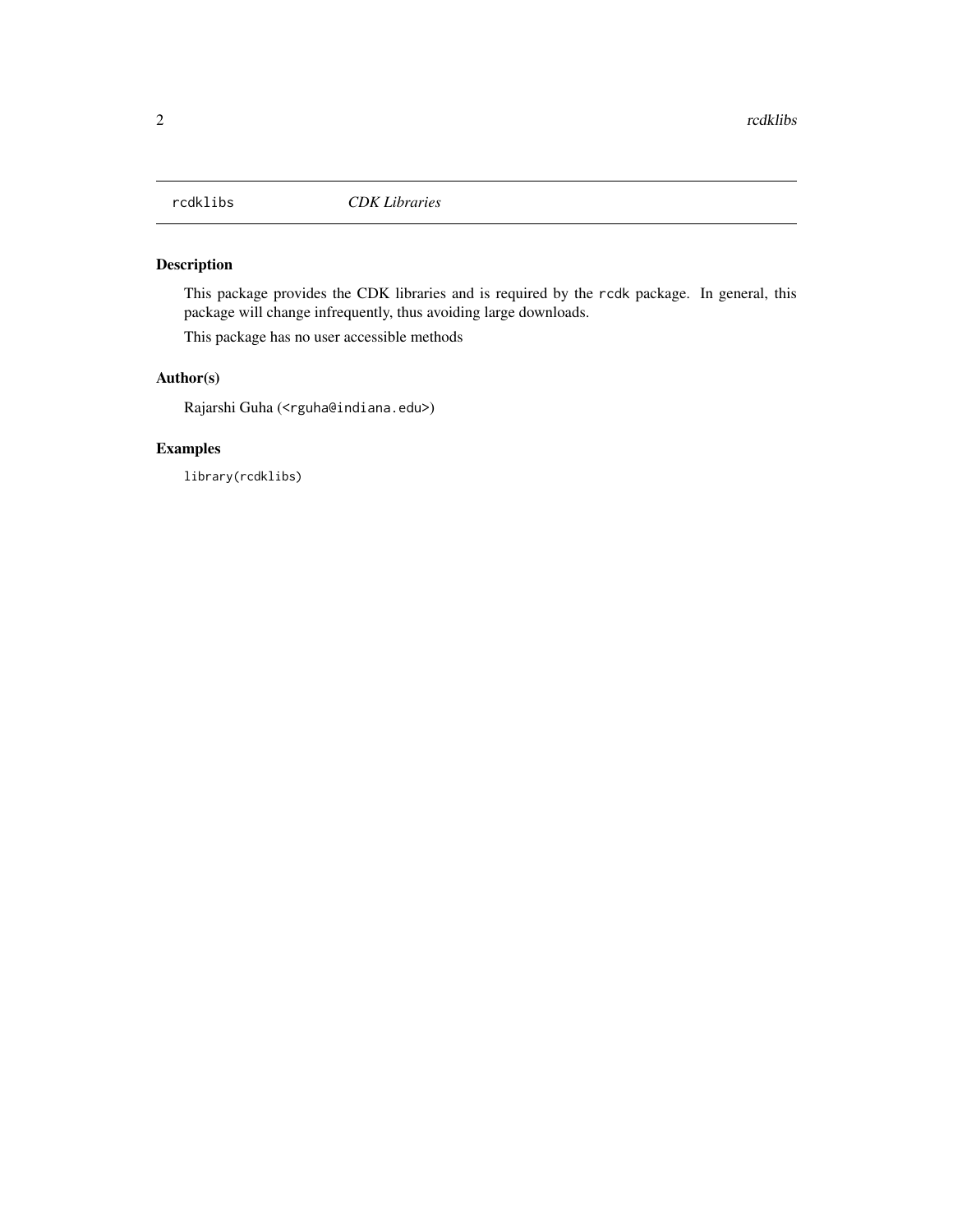<span id="page-1-0"></span>

#### Description

This package provides the CDK libraries and is required by the rcdk package. In general, this package will change infrequently, thus avoiding large downloads.

This package has no user accessible methods

#### Author(s)

Rajarshi Guha (<rguha@indiana.edu>)

#### Examples

library(rcdklibs)